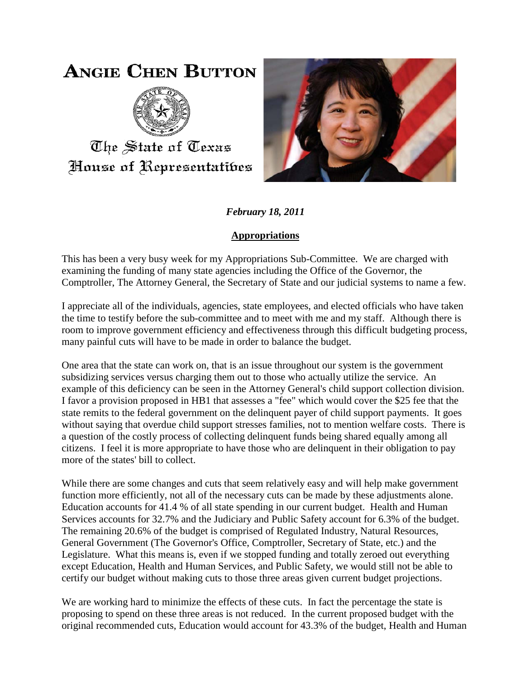## **ANGIE CHEN BUTTON**



The State of Texas House of Representatibes



*February 18, 2011*

## **Appropriations**

This has been a very busy week for my Appropriations Sub-Committee. We are charged with examining the funding of many state agencies including the Office of the Governor, the Comptroller, The Attorney General, the Secretary of State and our judicial systems to name a few.

I appreciate all of the individuals, agencies, state employees, and elected officials who have taken the time to testify before the sub-committee and to meet with me and my staff. Although there is room to improve government efficiency and effectiveness through this difficult budgeting process, many painful cuts will have to be made in order to balance the budget.

One area that the state can work on, that is an issue throughout our system is the government subsidizing services versus charging them out to those who actually utilize the service. An example of this deficiency can be seen in the Attorney General's child support collection division. I favor a provision proposed in HB1 that assesses a "fee" which would cover the \$25 fee that the state remits to the federal government on the delinquent payer of child support payments. It goes without saying that overdue child support stresses families, not to mention welfare costs. There is a question of the costly process of collecting delinquent funds being shared equally among all citizens. I feel it is more appropriate to have those who are delinquent in their obligation to pay more of the states' bill to collect.

While there are some changes and cuts that seem relatively easy and will help make government function more efficiently, not all of the necessary cuts can be made by these adjustments alone. Education accounts for 41.4 % of all state spending in our current budget. Health and Human Services accounts for 32.7% and the Judiciary and Public Safety account for 6.3% of the budget. The remaining 20.6% of the budget is comprised of Regulated Industry, Natural Resources, General Government (The Governor's Office, Comptroller, Secretary of State, etc.) and the Legislature. What this means is, even if we stopped funding and totally zeroed out everything except Education, Health and Human Services, and Public Safety, we would still not be able to certify our budget without making cuts to those three areas given current budget projections.

We are working hard to minimize the effects of these cuts. In fact the percentage the state is proposing to spend on these three areas is not reduced. In the current proposed budget with the original recommended cuts, Education would account for 43.3% of the budget, Health and Human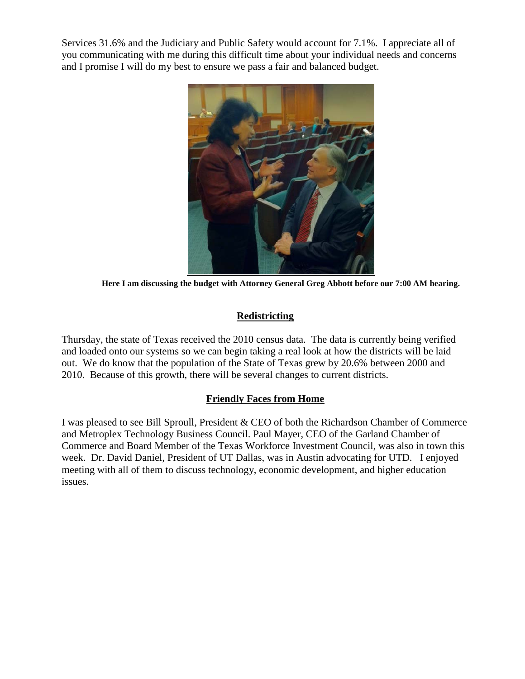Services 31.6% and the Judiciary and Public Safety would account for 7.1%. I appreciate all of you communicating with me during this difficult time about your individual needs and concerns and I promise I will do my best to ensure we pass a fair and balanced budget.



**Here I am discussing the budget with Attorney General Greg Abbott before our 7:00 AM hearing.**

## **Redistricting**

Thursday, the state of Texas received the 2010 census data. The data is currently being verified and loaded onto our systems so we can begin taking a real look at how the districts will be laid out. We do know that the population of the State of Texas grew by 20.6% between 2000 and 2010. Because of this growth, there will be several changes to current districts.

## **Friendly Faces from Home**

I was pleased to see Bill Sproull, President & CEO of both the Richardson Chamber of Commerce and Metroplex Technology Business Council. Paul Mayer, CEO of the Garland Chamber of Commerce and Board Member of the Texas Workforce Investment Council, was also in town this week. Dr. David Daniel, President of UT Dallas, was in Austin advocating for UTD. I enjoyed meeting with all of them to discuss technology, economic development, and higher education issues.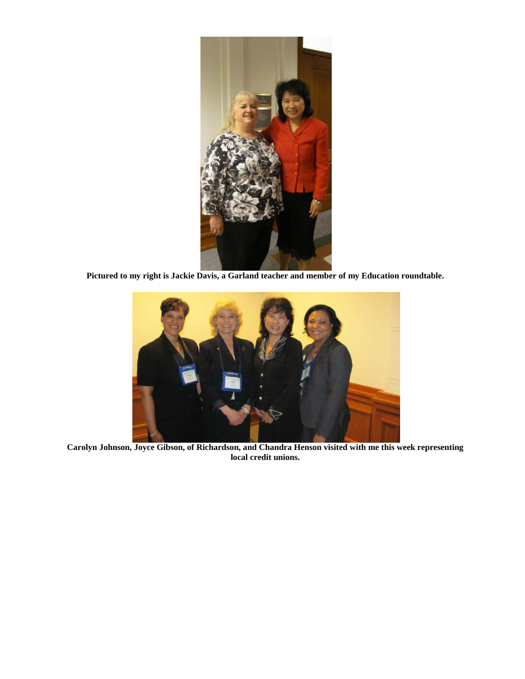

**Pictured to my right is Jackie Davis, a Garland teacher and member of my Education roundtable.**



**Carolyn Johnson, Joyce Gibson, of Richardson, and Chandra Henson visited with me this week representing local credit unions.**